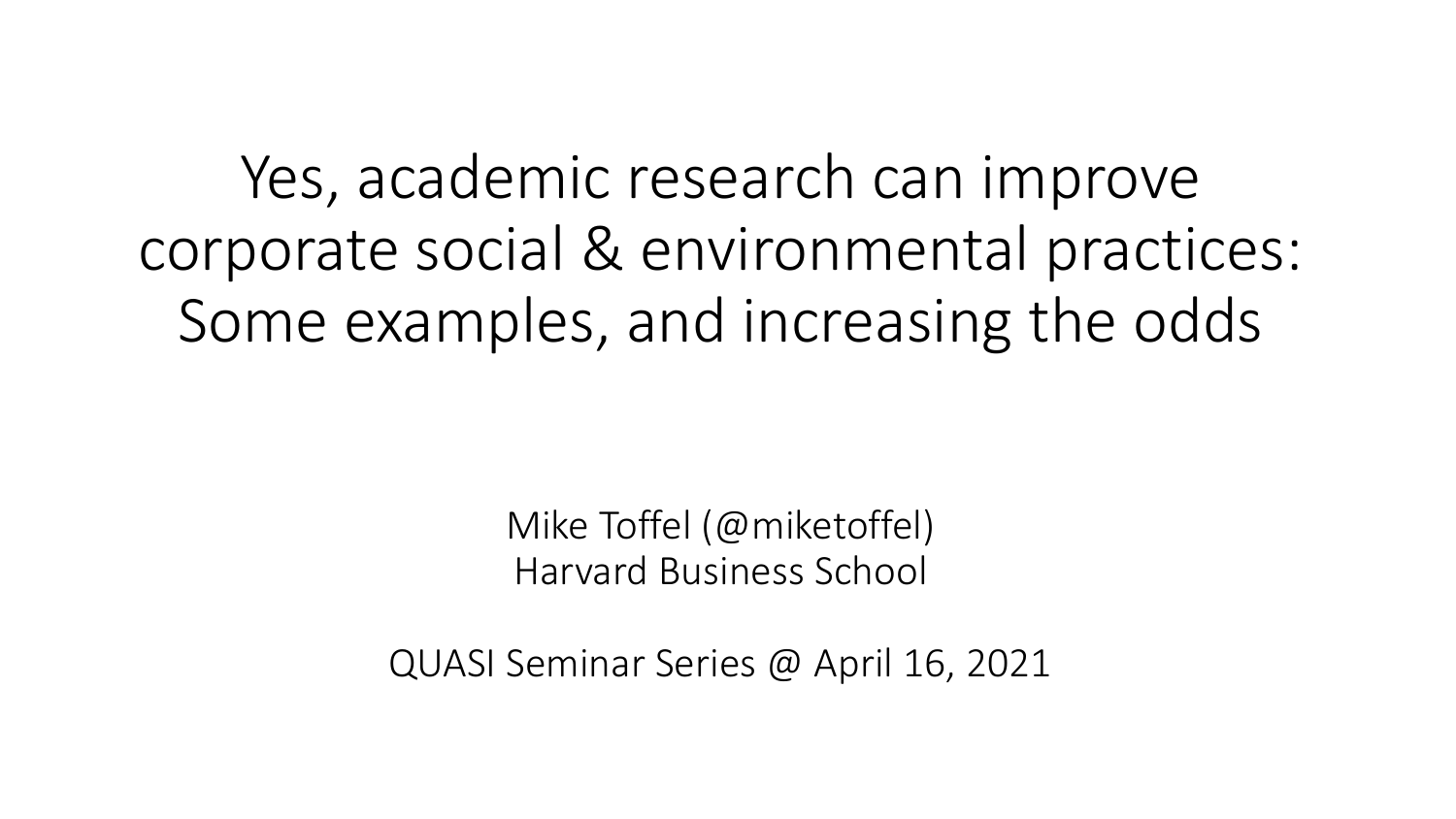Yes, academic research can improve corporate social & environmental practices: Some examples, and increasing the odds

> Mike Toffel (@miketoffel) Harvard Business School

QUASI Seminar Series @ April 16, 2021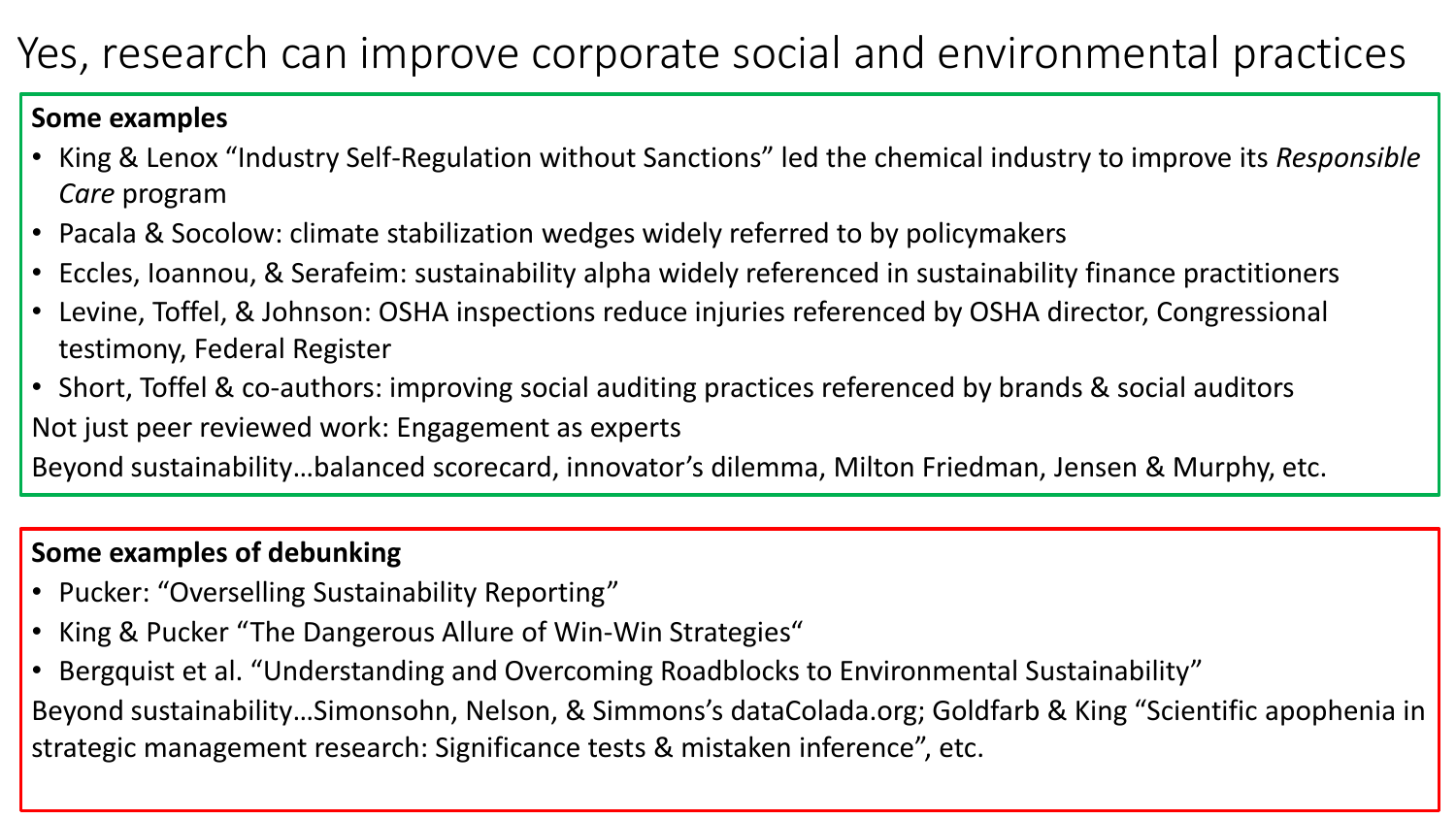## Yes, research can improve corporate social and environmental practices

#### **Some examples**

- King & Lenox "Industry Self-Regulation without Sanctions" led the chemical industry to improve its *Responsible Care* program
- Pacala & Socolow: climate stabilization wedges widely referred to by policymakers
- Eccles, Ioannou, & Serafeim: sustainability alpha widely referenced in sustainability finance practitioners
- Levine, Toffel, & Johnson: OSHA inspections reduce injuries referenced by OSHA director, Congressional testimony, Federal Register
- Short, Toffel & co-authors: improving social auditing practices referenced by brands & social auditors Not just peer reviewed work: Engagement as experts

Beyond sustainability…balanced scorecard, innovator's dilemma, Milton Friedman, Jensen & Murphy, etc.

### **Some examples of debunking**

- Pucker: "Overselling Sustainability Reporting"
- King & Pucker "The Dangerous Allure of Win-Win Strategies"
- Bergquist et al. "Understanding and Overcoming Roadblocks to Environmental Sustainability" Beyond sustainability…Simonsohn, Nelson, & Simmons's dataColada.org; Goldfarb & King "Scientific apophenia in strategic management research: Significance tests & mistaken inference", etc.